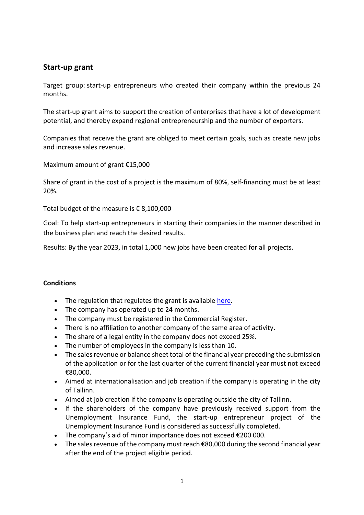# **Start-up grant**

Target group: start-up entrepreneurs who created their company within the previous 24 months.

The start-up grant aims to support the creation of enterprises that have a lot of development potential, and thereby expand regional entrepreneurship and the number of exporters.

Companies that receive the grant are obliged to meet certain goals, such as create new jobs and increase sales revenue.

Maximum amount of grant €15,000

Share of grant in the cost of a project is the maximum of 80%, self-financing must be at least 20%.

Total budget of the measure is  $\epsilon$  8,100,000

Goal: To help start-up entrepreneurs in starting their companies in the manner described in the business plan and reach the desired results.

Results: By the year 2023, in total 1,000 new jobs have been created for all projects.

#### **Conditions**

- The regulation that regulates the grant is available [here.](https://www.riigiteataja.ee/akt/118112016009?leiaKehtiv)
- The company has operated up to 24 months.
- The company must be registered in the Commercial Register.
- There is no affiliation to another company of the same area of activity.
- The share of a legal entity in the company does not exceed 25%.
- The number of employees in the company is less than 10.
- The sales revenue or balance sheet total of the financial year preceding the submission of the application or for the last quarter of the current financial year must not exceed €80,000.
- Aimed at internationalisation and job creation if the company is operating in the city of Tallinn.
- Aimed at job creation if the company is operating outside the city of Tallinn.
- If the shareholders of the company have previously received support from the Unemployment Insurance Fund, the start-up entrepreneur project of the Unemployment Insurance Fund is considered as successfully completed.
- The company's aid of minor importance does not exceed €200 000.
- The sales revenue of the company must reach €80,000 during the second financial year after the end of the project eligible period.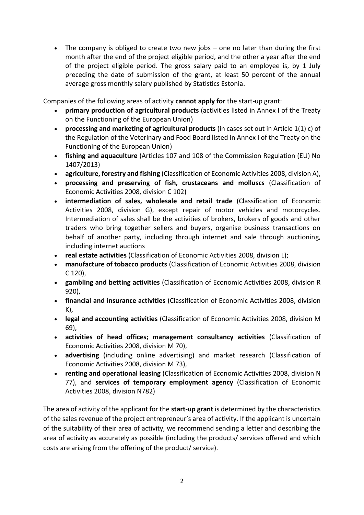The company is obliged to create two new jobs – one no later than during the first month after the end of the project eligible period, and the other a year after the end of the project eligible period. The gross salary paid to an employee is, by 1 July preceding the date of submission of the grant, at least 50 percent of the annual average gross monthly salary published by Statistics Estonia.

Companies of the following areas of activity **cannot apply for** the start-up grant:

- **primary production of agricultural products** (activities listed in Annex I of the Treaty on the Functioning of the European Union)
- **processing and marketing of agricultural products** (in cases set out in Article 1(1) c) of the Regulation of the Veterinary and Food Board listed in Annex I of the Treaty on the Functioning of the European Union)
- **fishing and aquaculture** (Articles 107 and 108 of the Commission Regulation (EU) No 1407/2013)
- **agriculture, forestry and fishing** (Classification of Economic Activities 2008, division A),
- **processing and preserving of fish, crustaceans and molluscs** (Classification of Economic Activities 2008, division C 102)
- **intermediation of sales, wholesale and retail trade** (Classification of Economic Activities 2008, division G), except repair of motor vehicles and motorcycles. Intermediation of sales shall be the activities of brokers, brokers of goods and other traders who bring together sellers and buyers, organise business transactions on behalf of another party, including through internet and sale through auctioning, including internet auctions
- **real estate activities** (Classification of Economic Activities 2008, division L);
- **manufacture of tobacco products** (Classification of Economic Activities 2008, division C 120),
- **gambling and betting activities** (Classification of Economic Activities 2008, division R 920),
- **financial and insurance activities** (Classification of Economic Activities 2008, division K),
- **legal and accounting activities** (Classification of Economic Activities 2008, division M 69),
- **activities of head offices; management consultancy activities** (Classification of Economic Activities 2008, division M 70),
- **advertising** (including online advertising) and market research (Classification of Economic Activities 2008, division M 73),
- **renting and operational leasing** (Classification of Economic Activities 2008, division N 77), and **services of temporary employment agency** (Classification of Economic Activities 2008, division N782)

The area of activity of the applicant for the **start-up grant** is determined by the characteristics of the sales revenue of the project entrepreneur's area of activity. If the applicant is uncertain of the suitability of their area of activity, we recommend sending a letter and describing the area of activity as accurately as possible (including the products/ services offered and which costs are arising from the offering of the product/ service).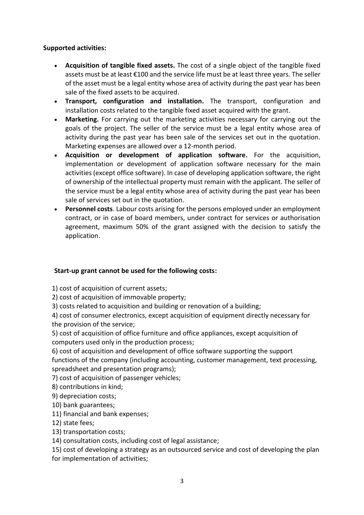## **Supported activities:**

- **Acquisition of tangible fixed assets.** The cost of a single object of the tangible fixed assets must be at least €100 and the service life must be at least three years. The seller of the asset must be a legal entity whose area of activity during the past year has been sale of the fixed assets to be acquired.
- **Transport, configuration and installation.** The transport, configuration and installation costs related to the tangible fixed asset acquired with the grant.
- **Marketing.** For carrying out the marketing activities necessary for carrying out the goals of the project. The seller of the service must be a legal entity whose area of activity during the past year has been sale of the services set out in the quotation. Marketing expenses are allowed over a 12-month period.
- **Acquisition or development of application software.** For the acquisition, implementation or development of application software necessary for the main activities (except office software). In case of developing application software, the right of ownership of the intellectual property must remain with the applicant. The seller of the service must be a legal entity whose area of activity during the past year has been sale of services set out in the quotation.
- **Personnel costs**. Labour costs arising for the persons employed under an employment contract, or in case of board members, under contract for services or authorisation agreement, maximum 50% of the grant assigned with the decision to satisfy the application.

## **Start-up grant cannot be used for the following costs:**

1) cost of acquisition of current assets;

2) cost of acquisition of immovable property;

3) costs related to acquisition and building or renovation of a building;

4) cost of consumer electronics, except acquisition of equipment directly necessary for the provision of the service;

5) cost of acquisition of office furniture and office appliances, except acquisition of computers used only in the production process;

6) cost of acquisition and development of office software supporting the support functions of the company (including accounting, customer management, text processing, spreadsheet and presentation programs);

7) cost of acquisition of passenger vehicles;

8) contributions in kind;

9) depreciation costs;

10) bank guarantees;

11) financial and bank expenses;

12) state fees;

13) transportation costs;

14) consultation costs, including cost of legal assistance;

15) cost of developing a strategy as an outsourced service and cost of developing the plan for implementation of activities;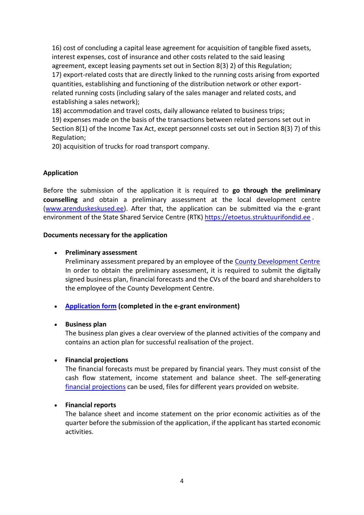16) cost of concluding a capital lease agreement for acquisition of tangible fixed assets, interest expenses, cost of insurance and other costs related to the said leasing agreement, except leasing payments set out in Section 8(3) 2) of this Regulation; 17) export-related costs that are directly linked to the running costs arising from exported quantities, establishing and functioning of the distribution network or other exportrelated running costs (including salary of the sales manager and related costs, and establishing a sales network);

18) accommodation and travel costs, daily allowance related to business trips; 19) expenses made on the basis of the transactions between related persons set out in Section 8(1) of the Income Tax Act, except personnel costs set out in Section 8(3) 7) of this Regulation;

20) acquisition of trucks for road transport company.

## **Application**

Before the submission of the application it is required to **go through the preliminary counselling** and obtain a preliminary assessment at the local development centre [\(www.arenduskeskused.ee\)](http://www.arenduskeskused.ee/). After that, the application can be submitted via the e-grant environment of the State Shared Service Centre (RTK) [https://etoetus.struktuurifondid.ee](https://etoetus.struktuurifondid.ee/).

#### **Documents necessary for the application**

### **Preliminary assessment**

Preliminary assessment prepared by an employee of the [County Development Centre](https://www.arenduskeskused.ee/teenused/starditoetus/) In order to obtain the preliminary assessment, it is required to submit the digitally signed business plan, financial forecasts and the CVs of the board and shareholders to the employee of the County Development Centre.

## **[Application form](https://www.rtk.ee/media/1171/download) (completed in the e-grant environment)**

#### **Business plan**

The business plan gives a clear overview of the planned activities of the company and contains an action plan for successful realisation of the project.

## **Financial projections**

The financial forecasts must be prepared by financial years. They must consist of the cash flow statement, income statement and balance sheet. The self-generating [financial projections](https://www.rtk.ee/meede-alustava-ettevotja-starditoetus#info-vene-ja-inglise-keeles) can be used, files for different years provided on website.

### **Financial reports**

The balance sheet and income statement on the prior economic activities as of the quarter before the submission of the application, if the applicant has started economic activities.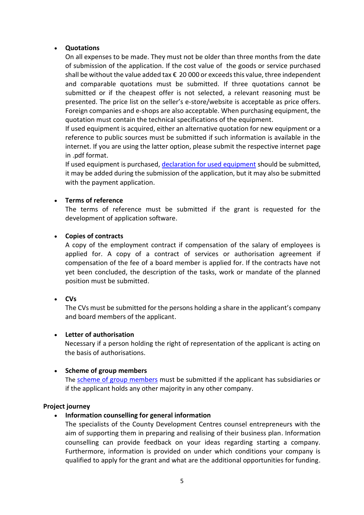### **Quotations**

On all expenses to be made. They must not be older than three months from the date of submission of the application. If the cost value of the goods or service purchased shall be without the value added tax € 20 000 or exceeds this value, three independent and comparable quotations must be submitted. If three quotations cannot be submitted or if the cheapest offer is not selected, a relevant reasoning must be presented. The price list on the seller's e-store/website is acceptable as price offers. Foreign companies and e-shops are also acceptable. When purchasing equipment, the quotation must contain the technical specifications of the equipment.

If used equipment is acquired, either an alternative quotation for new equipment or a reference to public sources must be submitted if such information is available in the internet. If you are using the latter option, please submit the respective internet page in .pdf format.

If used equipment is purchased[, declaration for used equipment](https://www.rtk.ee/media/1175/download) should be submitted, it may be added during the submission of the application, but it may also be submitted with the payment application.

## **Terms of reference**

The terms of reference must be submitted if the grant is requested for the development of application software.

### **Copies of contracts**

A copy of the employment contract if compensation of the salary of employees is applied for. A copy of a contract of services or authorisation agreement if compensation of the fee of a board member is applied for. If the contracts have not yet been concluded, the description of the tasks, work or mandate of the planned position must be submitted.

## **CVs**

The CVs must be submitted for the persons holding a share in the applicant's company and board members of the applicant.

#### **Letter of authorisation**

Necessary if a person holding the right of representation of the applicant is acting on the basis of authorisations.

## **•** Scheme of group members

The [scheme of group members](https://www.rtk.ee/media/1176/download) must be submitted if the applicant has subsidiaries or if the applicant holds any other majority in any other company.

#### **Project journey**

## **Information counselling for general information**

The specialists of the County Development Centres counsel entrepreneurs with the aim of supporting them in preparing and realising of their business plan. Information counselling can provide feedback on your ideas regarding starting a company. Furthermore, information is provided on under which conditions your company is qualified to apply for the grant and what are the additional opportunities for funding.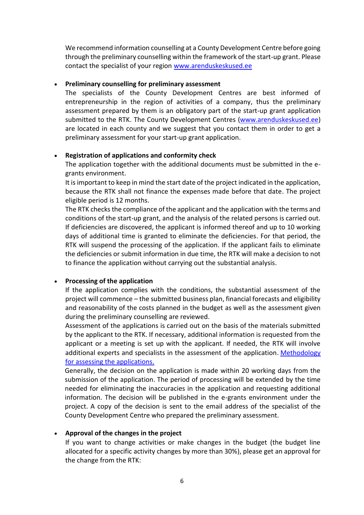We recommend information counselling at a County Development Centre before going through the preliminary counselling within the framework of the start-up grant. Please contact the specialist of your region [www.arenduskeskused.ee](http://www.arenduskeskused.ee/)

### **Preliminary counselling for preliminary assessment**

The specialists of the County Development Centres are best informed of entrepreneurship in the region of activities of a company, thus the preliminary assessment prepared by them is an obligatory part of the start-up grant application submitted to the RTK. The County Development Centres [\(www.arenduskeskused.ee\)](http://www.arenduskeskused.ee/) are located in each county and we suggest that you contact them in order to get a preliminary assessment for your start-up grant application.

### **Registration of applications and conformity check**

The application together with the additional documents must be submitted in the egrants environment.

It is important to keep in mind the start date of the project indicated in the application, because the RTK shall not finance the expenses made before that date. The project eligible period is 12 months.

The RTK checks the compliance of the applicant and the application with the terms and conditions of the start-up grant, and the analysis of the related persons is carried out. If deficiencies are discovered, the applicant is informed thereof and up to 10 working days of additional time is granted to eliminate the deficiencies. For that period, the RTK will suspend the processing of the application. If the applicant fails to eliminate the deficiencies or submit information in due time, the RTK will make a decision to not to finance the application without carrying out the substantial analysis.

## **Processing of the application**

If the application complies with the conditions, the substantial assessment of the project will commence – the submitted business plan, financial forecasts and eligibility and reasonability of the costs planned in the budget as well as the assessment given during the preliminary counselling are reviewed.

Assessment of the applications is carried out on the basis of the materials submitted by the applicant to the RTK. If necessary, additional information is requested from the applicant or a meeting is set up with the applicant. If needed, the RTK will involve additional experts and specialists in the assessment of the application. Methodology [for assessing the applications.](https://www.rtk.ee/media/1170/download)

Generally, the decision on the application is made within 20 working days from the submission of the application. The period of processing will be extended by the time needed for eliminating the inaccuracies in the application and requesting additional information. The decision will be published in the e-grants environment under the project. A copy of the decision is sent to the email address of the specialist of the County Development Centre who prepared the preliminary assessment.

## **Approval of the changes in the project**

If you want to change activities or make changes in the budget (the budget line allocated for a specific activity changes by more than 30%), please get an approval for the change from the RTK: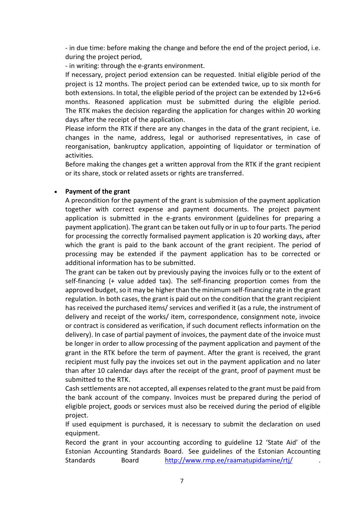- in due time: before making the change and before the end of the project period, i.e. during the project period,

- in writing: through the e-grants environment.

If necessary, project period extension can be requested. Initial eligible period of the project is 12 months. The project period can be extended twice, up to six month for both extensions. In total, the eligible period of the project can be extended by 12+6+6 months. Reasoned application must be submitted during the eligible period. The RTK makes the decision regarding the application for changes within 20 working days after the receipt of the application.

Please inform the RTK if there are any changes in the data of the grant recipient, i.e. changes in the name, address, legal or authorised representatives, in case of reorganisation, bankruptcy application, appointing of liquidator or termination of activities.

Before making the changes get a written approval from the RTK if the grant recipient or its share, stock or related assets or rights are transferred.

### **Payment of the grant**

A precondition for the payment of the grant is submission of the payment application together with correct expense and payment documents. The project payment application is submitted in the e-grants environment (guidelines for preparing a payment application). The grant can be taken out fully or in up to four parts. The period for processing the correctly formalised payment application is 20 working days, after which the grant is paid to the bank account of the grant recipient. The period of processing may be extended if the payment application has to be corrected or additional information has to be submitted.

The grant can be taken out by previously paying the invoices fully or to the extent of self-financing (+ value added tax). The self-financing proportion comes from the approved budget, so it may be higher than the minimum self-financing rate in the grant regulation. In both cases, the grant is paid out on the condition that the grant recipient has received the purchased items/ services and verified it (as a rule, the instrument of delivery and receipt of the works/ item, correspondence, consignment note, invoice or contract is considered as verification, if such document reflects information on the delivery). In case of partial payment of invoices, the payment date of the invoice must be longer in order to allow processing of the payment application and payment of the grant in the RTK before the term of payment. After the grant is received, the grant recipient must fully pay the invoices set out in the payment application and no later than after 10 calendar days after the receipt of the grant, proof of payment must be submitted to the RTK.

Cash settlements are not accepted, all expenses related to the grant must be paid from the bank account of the company. Invoices must be prepared during the period of eligible project, goods or services must also be received during the period of eligible project.

If used equipment is purchased, it is necessary to submit the declaration on used equipment.

Record the grant in your accounting according to guideline 12 'State Aid' of the Estonian Accounting Standards Board. See guidelines of the Estonian Accounting Standards Board <http://www.rmp.ee/raamatupidamine/rtj/>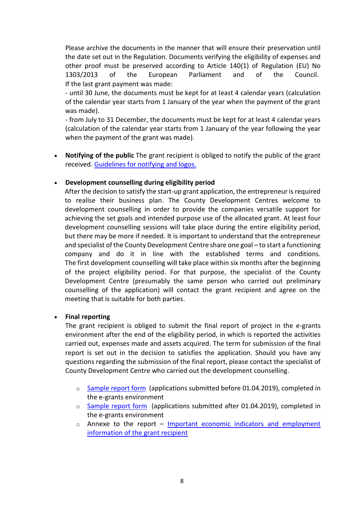Please archive the documents in the manner that will ensure their preservation until the date set out in the Regulation. Documents verifying the eligibility of expenses and other proof must be preserved according to Article 140(1) of Regulation (EU) No 1303/2013 of the European Parliament and of the Council. If the last grant payment was made:

- until 30 June, the documents must be kept for at least 4 calendar years (calculation of the calendar year starts from 1 January of the year when the payment of the grant was made).

- from July to 31 December, the documents must be kept for at least 4 calendar years (calculation of the calendar year starts from 1 January of the year following the year when the payment of the grant was made).

 **Notifying of the public** The grant recipient is obliged to notify the public of the grant received. Guidelines [for notifying and logos.](https://www.rtk.ee/toetusfondid-ja-programmid/euroopa-liidu-valisvahendid/logod-ja-sumboolika) 

### **Development counselling during eligibility period**

After the decision to satisfy the start-up grant application, the entrepreneur is required to realise their business plan. The County Development Centres welcome to development counselling in order to provide the companies versatile support for achieving the set goals and intended purpose use of the allocated grant. At least four development counselling sessions will take place during the entire eligibility period, but there may be more if needed. It is important to understand that the entrepreneur and specialist of the County Development Centre share one goal – to start a functioning company and do it in line with the established terms and conditions. The first development counselling will take place within six months after the beginning of the project eligibility period. For that purpose, the specialist of the County Development Centre (presumably the same person who carried out preliminary counselling of the application) will contact the grant recipient and agree on the meeting that is suitable for both parties.

#### **Final reporting**

The grant recipient is obliged to submit the final report of project in the e-grants environment after the end of the eligibility period, in which is reported the activities carried out, expenses made and assets acquired. The term for submission of the final report is set out in the decision to satisfies the application. Should you have any questions regarding the submission of the final report, please contact the specialist of County Development Centre who carried out the development counselling.

- o [Sample report form](https://www.rtk.ee/media/1177/download) (applications submitted before 01.04.2019), completed in the e-grants environment
- o [Sample report form](https://www.rtk.ee/media/1178/download) (applications submitted after 01.04.2019), completed in the e-grants environment
- $\circ$  Annexe to the report Important economic indicators and employment [information of the grant recipient](https://www.rtk.ee/media/1179/download)